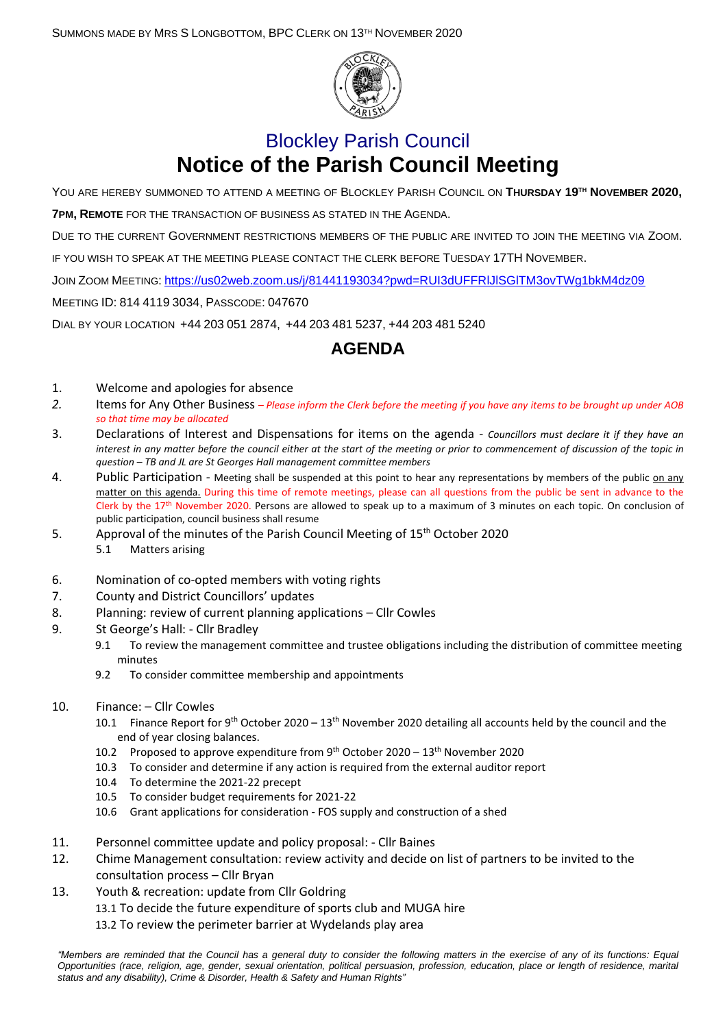SUMMONS MADE BY MRS S LONGBOTTOM, BPC CLERK ON 13TH NOVEMBER 2020



## Blockley Parish Council **Notice of the Parish Council Meeting**

YOU ARE HEREBY SUMMONED TO ATTEND A MEETING OF BLOCKLEY PARISH COUNCIL ON **THURSDAY 19 TH NOVEMBER 2020, 7PM, REMOTE** FOR THE TRANSACTION OF BUSINESS AS STATED IN THE AGENDA.

DUE TO THE CURRENT GOVERNMENT RESTRICTIONS MEMBERS OF THE PUBLIC ARE INVITED TO JOIN THE MEETING VIA ZOOM.

IF YOU WISH TO SPEAK AT THE MEETING PLEASE CONTACT THE CLERK BEFORE TUESDAY 17TH NOVEMBER.

JOIN ZOOM MEETING: <https://us02web.zoom.us/j/81441193034?pwd=RUI3dUFFRlJlSGlTM3ovTWg1bkM4dz09>

MEETING ID: 814 4119 3034, PASSCODE: 047670

DIAL BY YOUR LOCATION +44 203 051 2874, +44 203 481 5237, +44 203 481 5240

## **AGENDA**

- 1. Welcome and apologies for absence
- *2.* Items for Any Other Business *– Please inform the Clerk before the meeting if you have any items to be brought up under AOB so that time may be allocated*
- 3. Declarations of Interest and Dispensations for items on the agenda *Councillors must declare it if they have an interest in any matter before the council either at the start of the meeting or prior to commencement of discussion of the topic in question – TB and JL are St Georges Hall management committee members*
- 4. Public Participation Meeting shall be suspended at this point to hear any representations by members of the public on any matter on this agenda. During this time of remote meetings, please can all questions from the public be sent in advance to the Clerk by the  $17<sup>th</sup>$  November 2020. Persons are allowed to speak up to a maximum of 3 minutes on each topic. On conclusion of public participation, council business shall resume
- 5. Approval of the minutes of the Parish Council Meeting of 15th October 2020 5.1 Matters arising
- 6. Nomination of co-opted members with voting rights
- 7. County and District Councillors' updates
- 8. Planning: review of current planning applications Cllr Cowles
- 9. St George's Hall: Cllr Bradley
	- 9.1 To review the management committee and trustee obligations including the distribution of committee meeting minutes
	- 9.2 To consider committee membership and appointments
- 10. Finance: Cllr Cowles
	- 10.1 Finance Report for 9<sup>th</sup> October 2020 13<sup>th</sup> November 2020 detailing all accounts held by the council and the end of year closing balances.
	- 10.2 Proposed to approve expenditure from  $9<sup>th</sup>$  October 2020 13<sup>th</sup> November 2020
	- 10.3 To consider and determine if any action is required from the external auditor report
	- 10.4 To determine the 2021-22 precept
	- 10.5 To consider budget requirements for 2021-22
	- 10.6 Grant applications for consideration FOS supply and construction of a shed
- 11. Personnel committee update and policy proposal: Cllr Baines
- 12. Chime Management consultation: review activity and decide on list of partners to be invited to the consultation process – Cllr Bryan
- 13. Youth & recreation: update from Cllr Goldring
	- 13.1 To decide the future expenditure of sports club and MUGA hire
	- 13.2 To review the perimeter barrier at Wydelands play area